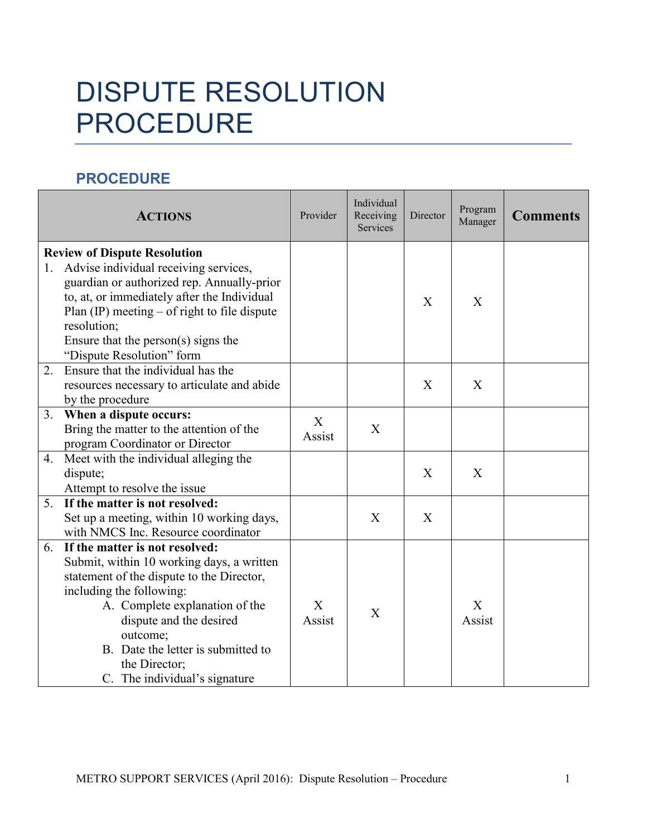## DISPUTE RESOLUTION PROCEDURE

## **PROCEDURE**

|    | <b>ACTIONS</b>                                                                                                                                                                                                                                                                                                            | Provider    | Individual<br>Receiving<br>Services | Director | Program<br>Manager | <b>Comments</b> |
|----|---------------------------------------------------------------------------------------------------------------------------------------------------------------------------------------------------------------------------------------------------------------------------------------------------------------------------|-------------|-------------------------------------|----------|--------------------|-----------------|
| 1. | <b>Review of Dispute Resolution</b><br>Advise individual receiving services,<br>guardian or authorized rep. Annually-prior<br>to, at, or immediately after the Individual<br>Plan $(\mathbb{P})$ meeting – of right to file dispute<br>resolution;<br>Ensure that the person $(s)$ signs the<br>"Dispute Resolution" form |             |                                     | X        | X                  |                 |
| 2. | Ensure that the individual has the<br>resources necessary to articulate and abide<br>by the procedure                                                                                                                                                                                                                     |             |                                     | X        | X                  |                 |
| 3. | When a dispute occurs:<br>Bring the matter to the attention of the<br>program Coordinator or Director                                                                                                                                                                                                                     | X<br>Assist | X                                   |          |                    |                 |
|    | 4. Meet with the individual alleging the<br>dispute;<br>Attempt to resolve the issue                                                                                                                                                                                                                                      |             |                                     | X        | X                  |                 |
| 5. | If the matter is not resolved:<br>Set up a meeting, within 10 working days,<br>with NMCS Inc. Resource coordinator                                                                                                                                                                                                        |             | X                                   | X        |                    |                 |
| 6. | If the matter is not resolved:<br>Submit, within 10 working days, a written<br>statement of the dispute to the Director,<br>including the following:<br>A. Complete explanation of the<br>dispute and the desired<br>outcome;<br>B. Date the letter is submitted to<br>the Director;<br>C. The individual's signature     | X<br>Assist | X                                   |          | X<br>Assist        |                 |